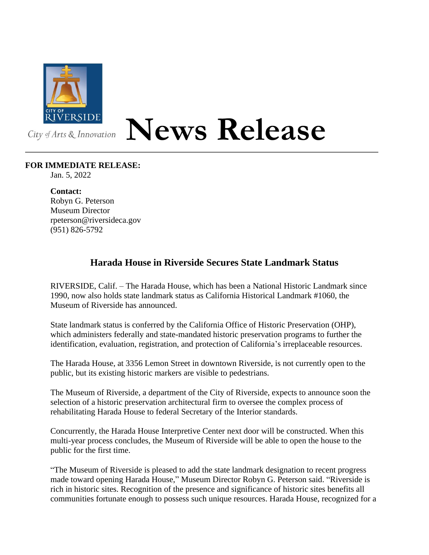

## City of Arts & Innovation

## **News Release**

## **FOR IMMEDIATE RELEASE:**

Jan. 5, 2022

**Contact:**

Robyn G. Peterson Museum Director rpeterson@riversideca.gov (951) 826-5792

## **Harada House in Riverside Secures State Landmark Status**

RIVERSIDE, Calif. – The Harada House, which has been a National Historic Landmark since 1990, now also holds state landmark status as California Historical Landmark #1060, the Museum of Riverside has announced.

State landmark status is conferred by the California Office of Historic Preservation (OHP), which administers federally and state-mandated historic preservation programs to further the identification, evaluation, registration, and protection of California's irreplaceable resources.

The Harada House, at 3356 Lemon Street in downtown Riverside, is not currently open to the public, but its existing historic markers are visible to pedestrians.

The Museum of Riverside, a department of the City of Riverside, expects to announce soon the selection of a historic preservation architectural firm to oversee the complex process of rehabilitating Harada House to federal Secretary of the Interior standards.

Concurrently, the Harada House Interpretive Center next door will be constructed. When this multi-year process concludes, the Museum of Riverside will be able to open the house to the public for the first time.

"The Museum of Riverside is pleased to add the state landmark designation to recent progress made toward opening Harada House," Museum Director Robyn G. Peterson said. "Riverside is rich in historic sites. Recognition of the presence and significance of historic sites benefits all communities fortunate enough to possess such unique resources. Harada House, recognized for a